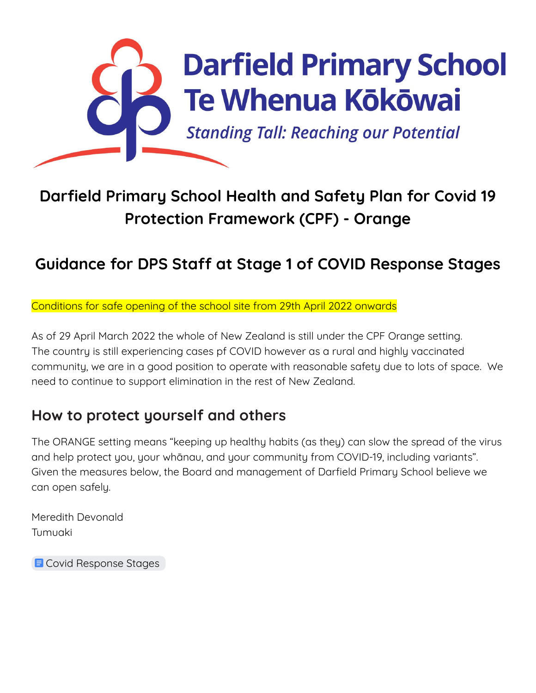

## **Darfield Primary School Health and Safety Plan for Covid 19 Protection Framework (CPF) - Orange**

## **Guidance for DPS Staff at Stage 1 of COVID Response Stages**

Conditions for safe opening of the school site from 29th April 2022 onwards

As of 29 April March 2022 the whole of New Zealand is still under the CPF Orange setting. The country is still experiencing cases pf COVID however as a rural and highly vaccinated community, we are in a good position to operate with reasonable safety due to lots of space. We need to continue to support elimination in the rest of New Zealand.

## **How to protect yourself and others**

The ORANGE setting means "keeping up healthy habits (as they) can slow the spread of the virus and help protect you, your whānau, and your community from COVID-19, including variants". Given the measures below, the Board and management of Darfield Primary School believe we can open safely.

Meredith Devonald Tumuaki

**E** Covid [Response](https://docs.google.com/document/d/15Iv2cmppg5Wfgp-1gfNLHvCDMNOMbU95t32QO9Av0uw/edit) Stages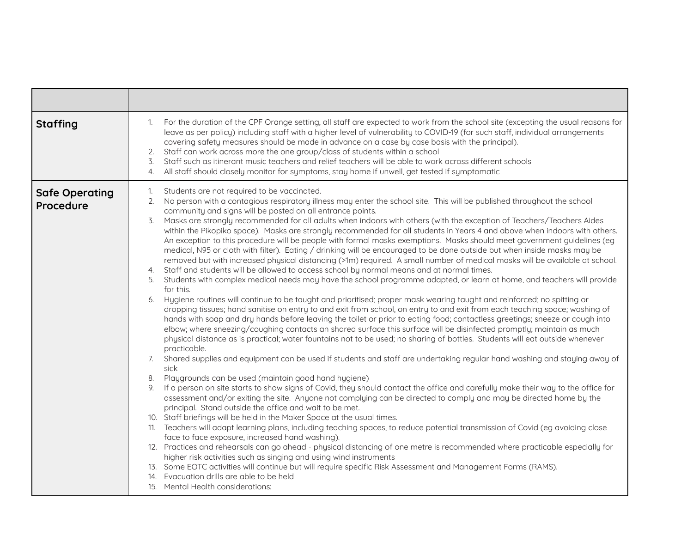| <b>Staffing</b>                    | For the duration of the CPF Orange setting, all staff are expected to work from the school site (excepting the usual reasons for<br>1.<br>leave as per policy) including staff with a higher level of vulnerability to COVID-19 (for such staff, individual arrangements<br>covering safety measures should be made in advance on a case by case basis with the principal).<br>Staff can work across more the one group/class of students within a school<br>2.<br>Staff such as itinerant music teachers and relief teachers will be able to work across different schools<br>3.<br>All staff should closely monitor for symptoms, stay home if unwell, get tested if symptomatic<br>4.                                                                                                                                                                                                                                                                                                                                                                                                                                                                                                                                                                                                                                                                                                                                                                                                                                                                                                                                                                                                                                                                                                                                                                                                                                                                                                                                                                                                                                                                                                                                                                                                                                                                                                                                                                                                                                                                                                                                                                                                                                                                                                                                                                                                                                                                                                                                               |
|------------------------------------|----------------------------------------------------------------------------------------------------------------------------------------------------------------------------------------------------------------------------------------------------------------------------------------------------------------------------------------------------------------------------------------------------------------------------------------------------------------------------------------------------------------------------------------------------------------------------------------------------------------------------------------------------------------------------------------------------------------------------------------------------------------------------------------------------------------------------------------------------------------------------------------------------------------------------------------------------------------------------------------------------------------------------------------------------------------------------------------------------------------------------------------------------------------------------------------------------------------------------------------------------------------------------------------------------------------------------------------------------------------------------------------------------------------------------------------------------------------------------------------------------------------------------------------------------------------------------------------------------------------------------------------------------------------------------------------------------------------------------------------------------------------------------------------------------------------------------------------------------------------------------------------------------------------------------------------------------------------------------------------------------------------------------------------------------------------------------------------------------------------------------------------------------------------------------------------------------------------------------------------------------------------------------------------------------------------------------------------------------------------------------------------------------------------------------------------------------------------------------------------------------------------------------------------------------------------------------------------------------------------------------------------------------------------------------------------------------------------------------------------------------------------------------------------------------------------------------------------------------------------------------------------------------------------------------------------------------------------------------------------------------------------------------------------|
| <b>Safe Operating</b><br>Procedure | Students are not required to be vaccinated.<br>1.<br>No person with a contagious respiratory illness may enter the school site. This will be published throughout the school<br>2.<br>community and signs will be posted on all entrance points.<br>3.<br>Masks are strongly recommended for all adults when indoors with others (with the exception of Teachers/Teachers Aides<br>within the Pikopiko space). Masks are strongly recommended for all students in Years 4 and above when indoors with others.<br>An exception to this procedure will be people with formal masks exemptions. Masks should meet government guidelines (eg<br>medical, N95 or cloth with filter). Eating / drinking will be encouraged to be done outside but when inside masks may be<br>removed but with increased physical distancing (>1m) required. A small number of medical masks will be available at school.<br>Staff and students will be allowed to access school by normal means and at normal times.<br>4.<br>Students with complex medical needs may have the school programme adapted, or learn at home, and teachers will provide<br>5.<br>for this.<br>Hygiene routines will continue to be taught and prioritised; proper mask wearing taught and reinforced; no spitting or<br>6.<br>dropping tissues; hand sanitise on entry to and exit from school, on entry to and exit from each teaching space; washing of<br>hands with soap and dry hands before leaving the toilet or prior to eating food; contactless greetings; sneeze or cough into<br>elbow; where sneezing/coughing contacts an shared surface this surface will be disinfected promptly; maintain as much<br>physical distance as is practical; water fountains not to be used; no sharing of bottles. Students will eat outside whenever<br>practicable.<br>Shared supplies and equipment can be used if students and staff are undertaking regular hand washing and staying away of<br>7.<br>sick<br>Playgrounds can be used (maintain good hand hygiene)<br>8.<br>If a person on site starts to show signs of Covid, they should contact the office and carefully make their way to the office for<br>9.<br>assessment and/or exiting the site. Anyone not complying can be directed to comply and may be directed home by the<br>principal. Stand outside the office and wait to be met.<br>10. Staff briefings will be held in the Maker Space at the usual times.<br>11. Teachers will adapt learning plans, including teaching spaces, to reduce potential transmission of Covid (eg avoiding close<br>face to face exposure, increased hand washing).<br>12. Practices and rehearsals can go ahead - physical distancing of one metre is recommended where practicable especially for<br>higher risk activities such as singing and using wind instruments<br>13. Some EOTC activities will continue but will require specific Risk Assessment and Management Forms (RAMS).<br>14. Evacuation drills are able to be held<br>15. Mental Health considerations: |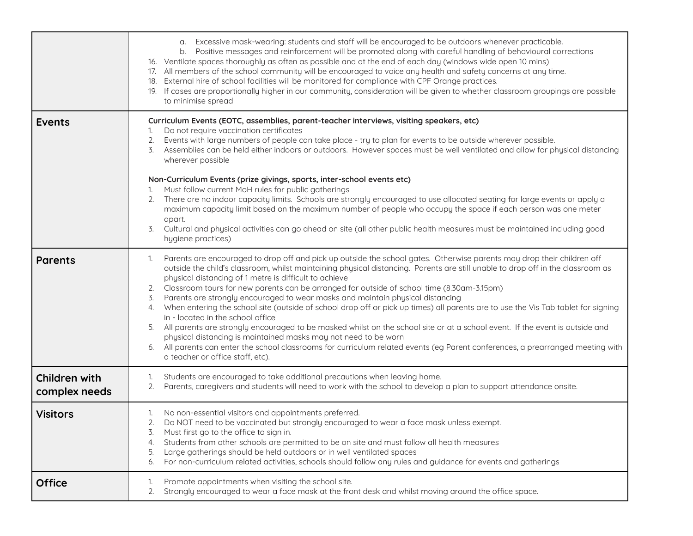|                                | a. Excessive mask-wearing: students and staff will be encouraged to be outdoors whenever practicable.<br>b. Positive messages and reinforcement will be promoted along with careful handling of behavioural corrections<br>16. Ventilate spaces thoroughly as often as possible and at the end of each day (windows wide open 10 mins)<br>17. All members of the school community will be encouraged to voice any health and safety concerns at any time.<br>18. External hire of school facilities will be monitored for compliance with CPF Orange practices.<br>19. If cases are proportionally higher in our community, consideration will be given to whether classroom groupings are possible<br>to minimise spread                                                                                                                                                                                                                                                                                                                                                       |
|--------------------------------|---------------------------------------------------------------------------------------------------------------------------------------------------------------------------------------------------------------------------------------------------------------------------------------------------------------------------------------------------------------------------------------------------------------------------------------------------------------------------------------------------------------------------------------------------------------------------------------------------------------------------------------------------------------------------------------------------------------------------------------------------------------------------------------------------------------------------------------------------------------------------------------------------------------------------------------------------------------------------------------------------------------------------------------------------------------------------------|
| <b>Events</b>                  | Curriculum Events (EOTC, assemblies, parent-teacher interviews, visiting speakers, etc)<br>Do not require vaccination certificates<br>Events with large numbers of people can take place - try to plan for events to be outside wherever possible.<br>2.<br>Assemblies can be held either indoors or outdoors. However spaces must be well ventilated and allow for physical distancing<br>3.<br>wherever possible<br>Non-Curriculum Events (prize givings, sports, inter-school events etc)                                                                                                                                                                                                                                                                                                                                                                                                                                                                                                                                                                                    |
|                                | Must follow current MoH rules for public gatherings<br>There are no indoor capacity limits. Schools are strongly encouraged to use allocated seating for large events or apply a<br>maximum capacity limit based on the maximum number of people who occupy the space if each person was one meter<br>apart.<br>Cultural and physical activities can go ahead on site (all other public health measures must be maintained including good<br>3.<br>hygiene practices)                                                                                                                                                                                                                                                                                                                                                                                                                                                                                                                                                                                                           |
| <b>Parents</b>                 | Parents are encouraged to drop off and pick up outside the school gates. Otherwise parents may drop their children off<br>1.<br>outside the child's classroom, whilst maintaining physical distancing. Parents are still unable to drop off in the classroom as<br>physical distancing of 1 metre is difficult to achieve<br>Classroom tours for new parents can be arranged for outside of school time (8.30am-3.15pm)<br>2.<br>3. Parents are strongly encouraged to wear masks and maintain physical distancing<br>When entering the school site (outside of school drop off or pick up times) all parents are to use the Vis Tab tablet for signing<br>4.<br>in - located in the school office<br>All parents are strongly encouraged to be masked whilst on the school site or at a school event. If the event is outside and<br>physical distancing is maintained masks may not need to be worn<br>All parents can enter the school classrooms for curriculum related events (eg Parent conferences, a prearranged meeting with<br>6.<br>a teacher or office staff, etc). |
| Children with<br>complex needs | Students are encouraged to take additional precautions when leaving home.<br>1.<br>Parents, caregivers and students will need to work with the school to develop a plan to support attendance onsite.<br>2.                                                                                                                                                                                                                                                                                                                                                                                                                                                                                                                                                                                                                                                                                                                                                                                                                                                                     |
| <b>Visitors</b>                | No non-essential visitors and appointments preferred.<br>Do NOT need to be vaccinated but strongly encouraged to wear a face mask unless exempt.<br>Must first go to the office to sign in.<br>Students from other schools are permitted to be on site and must follow all health measures<br>Large gatherings should be held outdoors or in well ventilated spaces<br>5.<br>For non-curriculum related activities, schools should follow any rules and guidance for events and gatherings<br>6.                                                                                                                                                                                                                                                                                                                                                                                                                                                                                                                                                                                |
| <b>Office</b>                  | Promote appointments when visiting the school site.<br>1.<br>Strongly encouraged to wear a face mask at the front desk and whilst moving around the office space.<br>2.                                                                                                                                                                                                                                                                                                                                                                                                                                                                                                                                                                                                                                                                                                                                                                                                                                                                                                         |